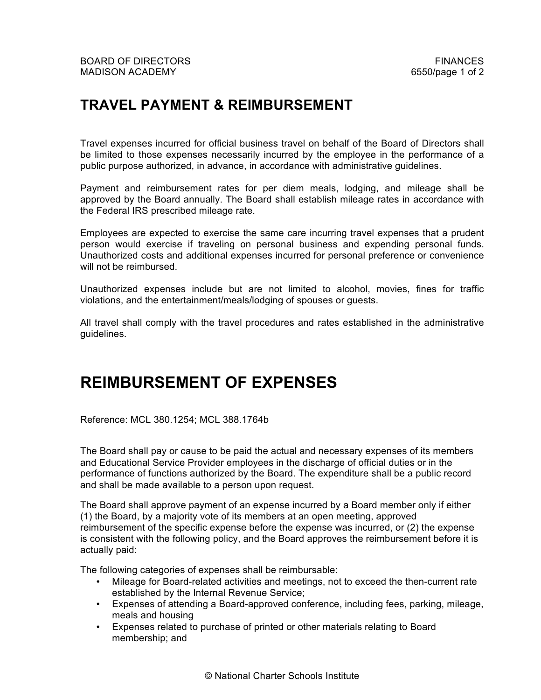## **TRAVEL PAYMENT & REIMBURSEMENT**

Travel expenses incurred for official business travel on behalf of the Board of Directors shall be limited to those expenses necessarily incurred by the employee in the performance of a public purpose authorized, in advance, in accordance with administrative guidelines.

Payment and reimbursement rates for per diem meals, lodging, and mileage shall be approved by the Board annually. The Board shall establish mileage rates in accordance with the Federal IRS prescribed mileage rate.

Employees are expected to exercise the same care incurring travel expenses that a prudent person would exercise if traveling on personal business and expending personal funds. Unauthorized costs and additional expenses incurred for personal preference or convenience will not be reimbursed.

Unauthorized expenses include but are not limited to alcohol, movies, fines for traffic violations, and the entertainment/meals/lodging of spouses or guests.

All travel shall comply with the travel procedures and rates established in the administrative guidelines.

## **REIMBURSEMENT OF EXPENSES**

Reference: MCL 380.1254; MCL 388.1764b

The Board shall pay or cause to be paid the actual and necessary expenses of its members and Educational Service Provider employees in the discharge of official duties or in the performance of functions authorized by the Board. The expenditure shall be a public record and shall be made available to a person upon request.

The Board shall approve payment of an expense incurred by a Board member only if either (1) the Board, by a majority vote of its members at an open meeting, approved reimbursement of the specific expense before the expense was incurred, or (2) the expense is consistent with the following policy, and the Board approves the reimbursement before it is actually paid:

The following categories of expenses shall be reimbursable:

- Mileage for Board-related activities and meetings, not to exceed the then-current rate established by the Internal Revenue Service;
- Expenses of attending a Board-approved conference, including fees, parking, mileage, meals and housing
- Expenses related to purchase of printed or other materials relating to Board membership; and